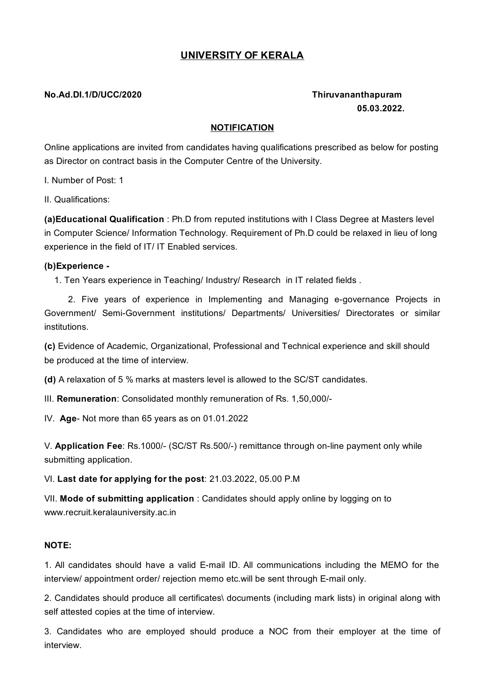## **UNIVERSITY OF KERALA**

### **No.Ad.DI.1/D/UCC/2020 Thiruvananthapuram**

# **05.03.2022.**

#### **NOTIFICATION**

Online applications are invited from candidates having qualifications prescribed as below for posting as Director on contract basis in the Computer Centre of the University.

I. Number of Post: 1

II. Qualifications:

**(a)Educational Qualification** : Ph.D from reputed institutions with I Class Degree at Masters level in Computer Science/ Information Technology. Requirement of Ph.D could be relaxed in lieu of long experience in the field of IT/ IT Enabled services.

#### **(b)Experience -**

1. Ten Years experience in Teaching/ Industry/ Research in IT related fields .

2. Five years of experience in Implementing and Managing e-governance Projects in Government/ Semi-Government institutions/ Departments/ Universities/ Directorates or similar institutions.

**(c)** Evidence of Academic, Organizational, Professional and Technical experience and skill should be produced at the time of interview.

**(d)** A relaxation of 5 % marks at masters level is allowed to the SC/ST candidates.

III. **Remuneration**: Consolidated monthly remuneration of Rs. 1,50,000/-

IV. **Age**- Not more than 65 years as on 01.01.2022

V. **Application Fee**: Rs.1000/- (SC/ST Rs.500/-) remittance through on-line payment only while submitting application.

VI. **Last date for applying for the post**: 21.03.2022, 05.00 P.M

VII. **Mode of submitting application** : Candidates should apply online by logging on to [www.recruit.keralauniversity.ac.in](http://www.recruit.keralauniversity.ac.in/)

#### **NOTE:**

1. All candidates should have a valid E-mail ID. All communications including the MEMO for the interview/ appointment order/ rejection memo etc.will be sent through E-mail only.

2. Candidates should produce all certificates\ documents (including mark lists) in original along with self attested copies at the time of interview.

3. Candidates who are employed should produce a NOC from their employer at the time of interview.